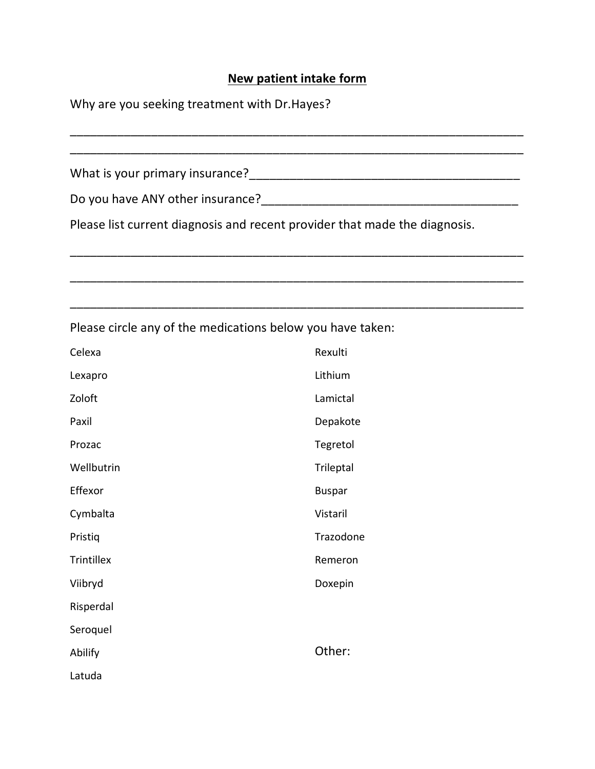## **New patient intake form**

| Why are you seeking treatment with Dr. Hayes? |                                                            |  |  |  |  |  |  |
|-----------------------------------------------|------------------------------------------------------------|--|--|--|--|--|--|
|                                               |                                                            |  |  |  |  |  |  |
|                                               |                                                            |  |  |  |  |  |  |
|                                               |                                                            |  |  |  |  |  |  |
|                                               |                                                            |  |  |  |  |  |  |
|                                               |                                                            |  |  |  |  |  |  |
|                                               | Please circle any of the medications below you have taken: |  |  |  |  |  |  |
| Celexa                                        | Rexulti                                                    |  |  |  |  |  |  |
| Lexapro                                       | Lithium                                                    |  |  |  |  |  |  |
| Zoloft                                        | Lamictal                                                   |  |  |  |  |  |  |
| Paxil                                         | Depakote                                                   |  |  |  |  |  |  |
| Prozac                                        | Tegretol                                                   |  |  |  |  |  |  |
| Wellbutrin                                    | Trileptal                                                  |  |  |  |  |  |  |
| Effexor                                       | <b>Buspar</b>                                              |  |  |  |  |  |  |
| Cymbalta                                      | Vistaril                                                   |  |  |  |  |  |  |
| Pristiq                                       | Trazodone                                                  |  |  |  |  |  |  |
| Trintillex                                    | Remeron                                                    |  |  |  |  |  |  |
| Viibryd                                       | Doxepin                                                    |  |  |  |  |  |  |
| Risperdal                                     |                                                            |  |  |  |  |  |  |
| Seroquel                                      |                                                            |  |  |  |  |  |  |
| Abilify                                       | Other:                                                     |  |  |  |  |  |  |
| Latuda                                        |                                                            |  |  |  |  |  |  |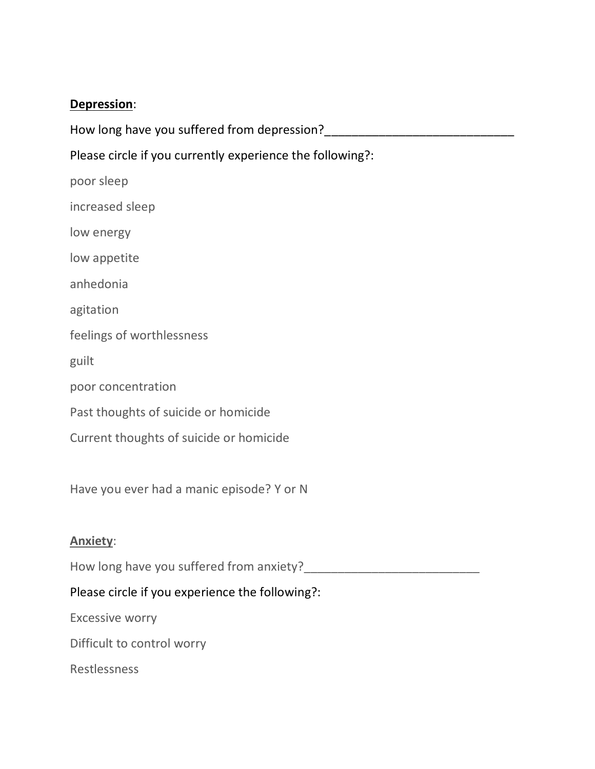## **Depression**:

| How long have you suffered from depression?               |
|-----------------------------------------------------------|
| Please circle if you currently experience the following?: |
| poor sleep                                                |
| increased sleep                                           |
| low energy                                                |
| low appetite                                              |
| anhedonia                                                 |
| agitation                                                 |
| feelings of worthlessness                                 |
| guilt                                                     |
| poor concentration                                        |
| Past thoughts of suicide or homicide                      |
| Current thoughts of suicide or homicide                   |
|                                                           |
| Have you ever had a manic episode? Y or N                 |
|                                                           |
| <b>Anxiety:</b>                                           |
|                                                           |
| Please circle if you experience the following?:           |
| Excessive worry                                           |
| Difficult to control worry                                |

Restlessness